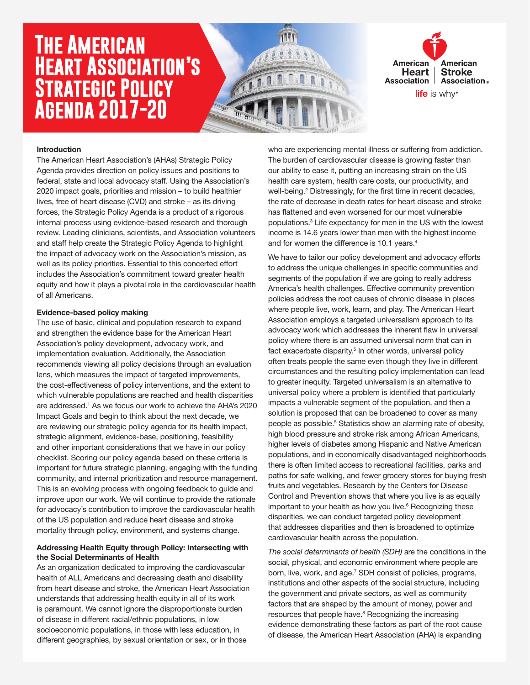# **The American Heart Association's Strategic Policy Agenda 2017-20**





#### Introduction

The American Heart Association's (AHAs) Strategic Policy Agenda provides direction on policy issues and positions to federal, state and local advocacy staff. Using the Association's 2020 impact goals, priorities and mission – to build healthier lives, free of heart disease (CVD) and stroke – as its driving forces, the Strategic Policy Agenda is a product of a rigorous internal process using evidence-based research and thorough review. Leading clinicians, scientists, and Association volunteers and staff help create the Strategic Policy Agenda to highlight the impact of advocacy work on the Association's mission, as well as its policy priorities. Essential to this concerted effort includes the Association's commitment toward greater health equity and how it plays a pivotal role in the cardiovascular health of all Americans.

#### Evidence-based policy making

The use of basic, clinical and population research to expand and strengthen the evidence base for the American Heart Association's policy development, advocacy work, and implementation evaluation. Additionally, the Association recommends viewing all policy decisions through an evaluation lens, which measures the impact of targeted improvements, the cost-effectiveness of policy interventions, and the extent to which vulnerable populations are reached and health disparities are addressed.<sup>1</sup> As we focus our work to achieve the AHA's 2020 Impact Goals and begin to think about the next decade, we are reviewing our strategic policy agenda for its health impact, strategic alignment, evidence-base, positioning, feasibility and other important considerations that we have in our policy checklist. Scoring our policy agenda based on these criteria is important for future strategic planning, engaging with the funding community, and internal prioritization and resource management. This is an evolving process with ongoing feedback to guide and improve upon our work. We will continue to provide the rationale for advocacy's contribution to improve the cardiovascular health of the US population and reduce heart disease and stroke mortality through policy, environment, and systems change.

#### Addressing Health Equity through Policy: Intersecting with the Social Determinants of Health

As an organization dedicated to improving the cardiovascular health of ALL Americans and decreasing death and disability from heart disease and stroke, the American Heart Association understands that addressing health equity in all of its work is paramount. We cannot ignore the disproportionate burden of disease in different racial/ethnic populations, in low socioeconomic populations, in those with less education, in different geographies, by sexual orientation or sex, or in those

who are experiencing mental illness or suffering from addiction. The burden of cardiovascular disease is growing faster than our ability to ease it, putting an increasing strain on the US health care system, health care costs, our productivity, and well-being.<sup>2</sup> Distressingly, for the first time in recent decades, the rate of decrease in death rates for heart disease and stroke has flattened and even worsened for our most vulnerable populations.3 Life expectancy for men in the US with the lowest income is 14.6 years lower than men with the highest income and for women the difference is 10.1 years.<sup>4</sup>

We have to tailor our policy development and advocacy efforts to address the unique challenges in specific communities and segments of the population if we are going to really address America's health challenges. Effective community prevention policies address the root causes of chronic disease in places where people live, work, learn, and play. The American Heart Association employs a targeted universalism approach to its advocacy work which addresses the inherent flaw in universal policy where there is an assumed universal norm that can in fact exacerbate disparity.<sup>5</sup> In other words, universal policy often treats people the same even though they live in different circumstances and the resulting policy implementation can lead to greater inequity. Targeted universalism is an alternative to universal policy where a problem is identified that particularly impacts a vulnerable segment of the population, and then a solution is proposed that can be broadened to cover as many people as possible.<sup>5</sup> Statistics show an alarming rate of obesity, high blood pressure and stroke risk among African Americans, higher levels of diabetes among Hispanic and Native American populations, and in economically disadvantaged neighborhoods there is often limited access to recreational facilities, parks and paths for safe walking, and fewer grocery stores for buying fresh fruits and vegetables. Research by the Centers for Disease Control and Prevention shows that where you live is as equally important to your health as how you live.<sup>6</sup> Recognizing these disparities, we can conduct targeted policy development that addresses disparities and then is broadened to optimize cardiovascular health across the population.

*The social determinants of health (SDH)* are the conditions in the social, physical, and economic environment where people are born, live, work, and age.<sup>7</sup> SDH consist of policies, programs, institutions and other aspects of the social structure, including the government and private sectors, as well as community factors that are shaped by the amount of money, power and resources that people have.<sup>8</sup> Recognizing the increasing evidence demonstrating these factors as part of the root cause of disease, the American Heart Association (AHA) is expanding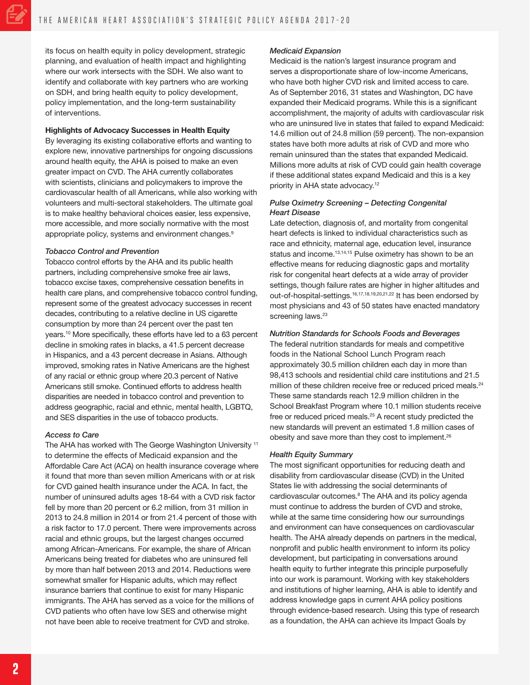its focus on health equity in policy development, strategic planning, and evaluation of health impact and highlighting where our work intersects with the SDH. We also want to identify and collaborate with key partners who are working on SDH, and bring health equity to policy development, policy implementation, and the long-term sustainability of interventions.

#### Highlights of Advocacy Successes in Health Equity

By leveraging its existing collaborative efforts and wanting to explore new, innovative partnerships for ongoing discussions around health equity, the AHA is poised to make an even greater impact on CVD. The AHA currently collaborates with scientists, clinicians and policymakers to improve the cardiovascular health of all Americans, while also working with volunteers and multi-sectoral stakeholders. The ultimate goal is to make healthy behavioral choices easier, less expensive, more accessible, and more socially normative with the most appropriate policy, systems and environment changes.<sup>9</sup>

#### *Tobacco Control and Prevention*

Tobacco control efforts by the AHA and its public health partners, including comprehensive smoke free air laws, tobacco excise taxes, comprehensive cessation benefits in health care plans, and comprehensive tobacco control funding, represent some of the greatest advocacy successes in recent decades, contributing to a relative decline in US cigarette consumption by more than 24 percent over the past ten years.10 More specifically, these efforts have led to a 63 percent decline in smoking rates in blacks, a 41.5 percent decrease in Hispanics, and a 43 percent decrease in Asians. Although improved, smoking rates in Native Americans are the highest of any racial or ethnic group where 20.3 percent of Native Americans still smoke. Continued efforts to address health disparities are needed in tobacco control and prevention to address geographic, racial and ethnic, mental health, LGBTQ, and SES disparities in the use of tobacco products.

#### *Access to Care*

The AHA has worked with The George Washington University<sup>11</sup> to determine the effects of Medicaid expansion and the Affordable Care Act (ACA) on health insurance coverage where it found that more than seven million Americans with or at risk for CVD gained health insurance under the ACA. In fact, the number of uninsured adults ages 18-64 with a CVD risk factor fell by more than 20 percent or 6.2 million, from 31 million in 2013 to 24.8 million in 2014 or from 21.4 percent of those with a risk factor to 17.0 percent. There were improvements across racial and ethnic groups, but the largest changes occurred among African-Americans. For example, the share of African Americans being treated for diabetes who are uninsured fell by more than half between 2013 and 2014. Reductions were somewhat smaller for Hispanic adults, which may reflect insurance barriers that continue to exist for many Hispanic immigrants. The AHA has served as a voice for the millions of CVD patients who often have low SES and otherwise might not have been able to receive treatment for CVD and stroke.

#### *Medicaid Expansion*

Medicaid is the nation's largest insurance program and serves a disproportionate share of low-income Americans, who have both higher CVD risk and limited access to care. As of September 2016, 31 states and Washington, DC have expanded their Medicaid programs. While this is a significant accomplishment, the majority of adults with cardiovascular risk who are uninsured live in states that failed to expand Medicaid: 14.6 million out of 24.8 million (59 percent). The non-expansion states have both more adults at risk of CVD and more who remain uninsured than the states that expanded Medicaid. Millions more adults at risk of CVD could gain health coverage if these additional states expand Medicaid and this is a key priority in AHA state advocacy.<sup>12</sup>

### *Pulse Oximetry Screening – Detecting Congenital Heart Disease*

Late detection, diagnosis of, and mortality from congenital heart defects is linked to individual characteristics such as race and ethnicity, maternal age, education level, insurance status and income.<sup>13,14,15</sup> Pulse oximetry has shown to be an effective means for reducing diagnostic gaps and mortality risk for congenital heart defects at a wide array of provider settings, though failure rates are higher in higher altitudes and out-of-hospital-settings.16,17,18,19,20,21,22 It has been endorsed by most physicians and 43 of 50 states have enacted mandatory screening laws.<sup>23</sup>

## *Nutrition Standards for Schools Foods and Beverages*

The federal nutrition standards for meals and competitive foods in the National School Lunch Program reach approximately 30.5 million children each day in more than 98,413 schools and residential child care institutions and 21.5 million of these children receive free or reduced priced meals.<sup>24</sup> These same standards reach 12.9 million children in the School Breakfast Program where 10.1 million students receive free or reduced priced meals.25 A recent study predicted the new standards will prevent an estimated 1.8 million cases of obesity and save more than they cost to implement.<sup>26</sup>

## *Health Equity Summary*

The most significant opportunities for reducing death and disability from cardiovascular disease (CVD) in the United States lie with addressing the social determinants of cardiovascular outcomes.<sup>8</sup> The AHA and its policy agenda must continue to address the burden of CVD and stroke, while at the same time considering how our surroundings and environment can have consequences on cardiovascular health. The AHA already depends on partners in the medical, nonprofit and public health environment to inform its policy development, but participating in conversations around health equity to further integrate this principle purposefully into our work is paramount. Working with key stakeholders and institutions of higher learning, AHA is able to identify and address knowledge gaps in current AHA policy positions through evidence-based research. Using this type of research as a foundation, the AHA can achieve its Impact Goals by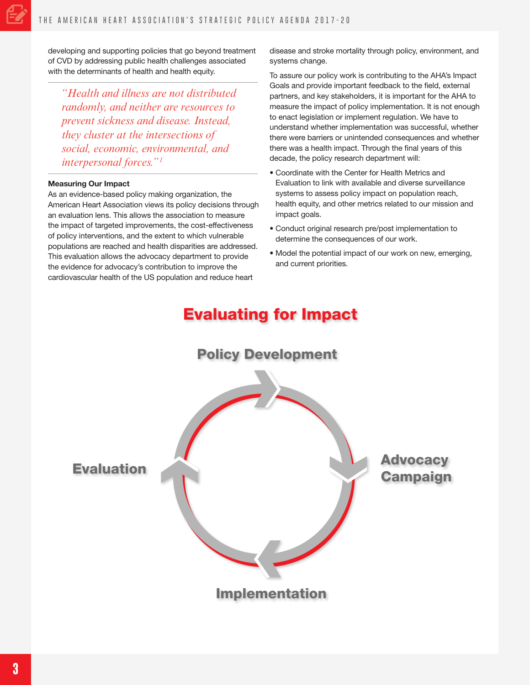developing and supporting policies that go beyond treatment of CVD by addressing public health challenges associated with the determinants of health and health equity.

*"Health and illness are not distributed randomly, and neither are resources to prevent sickness and disease. Instead, they cluster at the intersections of social, economic, environmental, and interpersonal forces."1*

#### Measuring Our Impact

As an evidence-based policy making organization, the American Heart Association views its policy decisions through an evaluation lens. This allows the association to measure the impact of targeted improvements, the cost-effectiveness of policy interventions, and the extent to which vulnerable populations are reached and health disparities are addressed. This evaluation allows the advocacy department to provide the evidence for advocacy's contribution to improve the cardiovascular health of the US population and reduce heart

disease and stroke mortality through policy, environment, and systems change.

To assure our policy work is contributing to the AHA's Impact Goals and provide important feedback to the field, external partners, and key stakeholders, it is important for the AHA to measure the impact of policy implementation. It is not enough to enact legislation or implement regulation. We have to understand whether implementation was successful, whether there were barriers or unintended consequences and whether there was a health impact. Through the final years of this decade, the policy research department will:

- Coordinate with the Center for Health Metrics and Evaluation to link with available and diverse surveillance systems to assess policy impact on population reach, health equity, and other metrics related to our mission and impact goals.
- Conduct original research pre/post implementation to determine the consequences of our work.
- Model the potential impact of our work on new, emerging, and current priorities.

# Evaluating for Impact

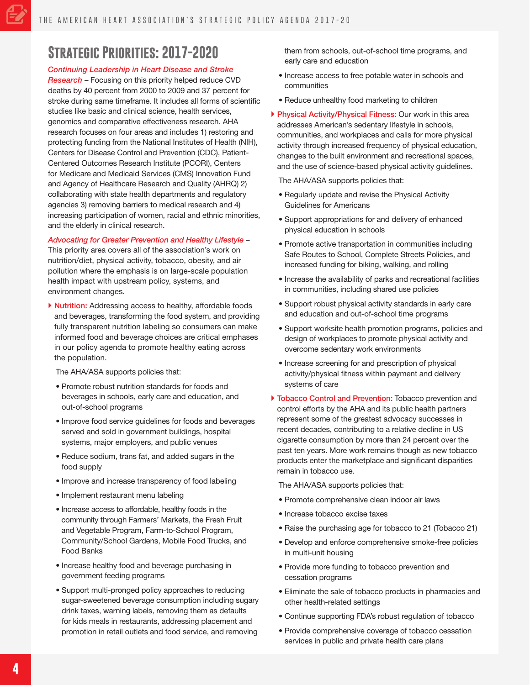# **Strategic Priorities: 2017-2020**

### *Continuing Leadership in Heart Disease and Stroke*

*Research* – Focusing on this priority helped reduce CVD deaths by 40 percent from 2000 to 2009 and 37 percent for stroke during same timeframe. It includes all forms of scientific studies like basic and clinical science, health services, genomics and comparative effectiveness research. AHA research focuses on four areas and includes 1) restoring and protecting funding from the National Institutes of Health (NIH), Centers for Disease Control and Prevention (CDC), Patient-Centered Outcomes Research Institute (PCORI), Centers for Medicare and Medicaid Services (CMS) Innovation Fund and Agency of Healthcare Research and Quality (AHRQ) 2) collaborating with state health departments and regulatory agencies 3) removing barriers to medical research and 4) increasing participation of women, racial and ethnic minorities, and the elderly in clinical research.

#### *Advocating for Greater Prevention and Healthy Lifestyle* –

This priority area covers all of the association's work on nutrition/diet, physical activity, tobacco, obesity, and air pollution where the emphasis is on large-scale population health impact with upstream policy, systems, and environment changes.

▶ Nutrition: Addressing access to healthy, affordable foods and beverages, transforming the food system, and providing fully transparent nutrition labeling so consumers can make informed food and beverage choices are critical emphases in our policy agenda to promote healthy eating across the population.

The AHA/ASA supports policies that:

- Promote robust nutrition standards for foods and beverages in schools, early care and education, and out-of-school programs
- Improve food service guidelines for foods and beverages served and sold in government buildings, hospital systems, major employers, and public venues
- Reduce sodium, trans fat, and added sugars in the food supply
- Improve and increase transparency of food labeling
- Implement restaurant menu labeling
- Increase access to affordable, healthy foods in the community through Farmers' Markets, the Fresh Fruit and Vegetable Program, Farm-to-School Program, Community/School Gardens, Mobile Food Trucks, and Food Banks
- Increase healthy food and beverage purchasing in government feeding programs
- Support multi-pronged policy approaches to reducing sugar-sweetened beverage consumption including sugary drink taxes, warning labels, removing them as defaults for kids meals in restaurants, addressing placement and promotion in retail outlets and food service, and removing

them from schools, out-of-school time programs, and early care and education

- Increase access to free potable water in schools and communities
- Reduce unhealthy food marketing to children
- ▶ Physical Activity/Physical Fitness: Our work in this area addresses American's sedentary lifestyle in schools, communities, and workplaces and calls for more physical activity through increased frequency of physical education, changes to the built environment and recreational spaces, and the use of science-based physical activity guidelines.

The AHA/ASA supports policies that:

- Regularly update and revise the Physical Activity Guidelines for Americans
- Support appropriations for and delivery of enhanced physical education in schools
- Promote active transportation in communities including Safe Routes to School, Complete Streets Policies, and increased funding for biking, walking, and rolling
- Increase the availability of parks and recreational facilities in communities, including shared use policies
- Support robust physical activity standards in early care and education and out-of-school time programs
- Support worksite health promotion programs, policies and design of workplaces to promote physical activity and overcome sedentary work environments
- Increase screening for and prescription of physical activity/physical fitness within payment and delivery systems of care
- $\triangleright$  Tobacco Control and Prevention: Tobacco prevention and control efforts by the AHA and its public health partners represent some of the greatest advocacy successes in recent decades, contributing to a relative decline in US cigarette consumption by more than 24 percent over the past ten years. More work remains though as new tobacco products enter the marketplace and significant disparities remain in tobacco use.

The AHA/ASA supports policies that:

- Promote comprehensive clean indoor air laws
- Increase tobacco excise taxes
- Raise the purchasing age for tobacco to 21 (Tobacco 21)
- Develop and enforce comprehensive smoke-free policies in multi-unit housing
- Provide more funding to tobacco prevention and cessation programs
- Eliminate the sale of tobacco products in pharmacies and other health-related settings
- Continue supporting FDA's robust regulation of tobacco
- Provide comprehensive coverage of tobacco cessation services in public and private health care plans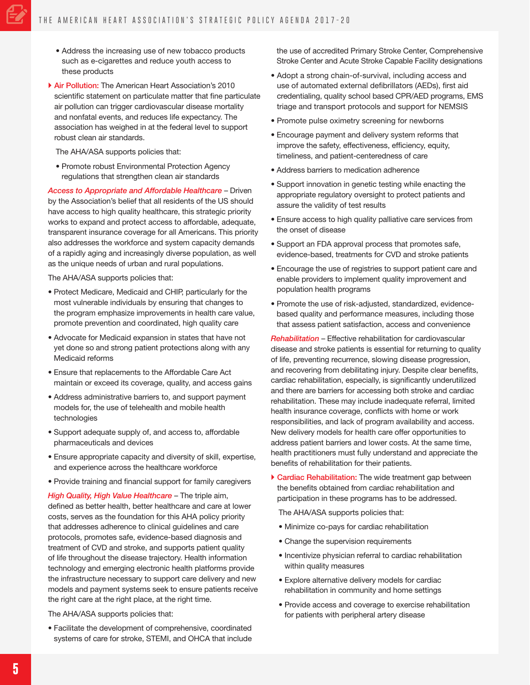- Address the increasing use of new tobacco products such as e-cigarettes and reduce youth access to these products
- Air Pollution: The American Heart Association's 2010 scientific statement on particulate matter that fine particulate air pollution can trigger cardiovascular disease mortality and nonfatal events, and reduces life expectancy. The association has weighed in at the federal level to support robust clean air standards.

The AHA/ASA supports policies that:

• Promote robust Environmental Protection Agency regulations that strengthen clean air standards

*Access to Appropriate and Affordable Healthcare* – Driven by the Association's belief that all residents of the US should have access to high quality healthcare, this strategic priority works to expand and protect access to affordable, adequate, transparent insurance coverage for all Americans. This priority also addresses the workforce and system capacity demands of a rapidly aging and increasingly diverse population, as well as the unique needs of urban and rural populations.

The AHA/ASA supports policies that:

- Protect Medicare, Medicaid and CHIP, particularly for the most vulnerable individuals by ensuring that changes to the program emphasize improvements in health care value, promote prevention and coordinated, high quality care
- Advocate for Medicaid expansion in states that have not yet done so and strong patient protections along with any Medicaid reforms
- Ensure that replacements to the Affordable Care Act maintain or exceed its coverage, quality, and access gains
- Address administrative barriers to, and support payment models for, the use of telehealth and mobile health technologies
- Support adequate supply of, and access to, affordable pharmaceuticals and devices
- Ensure appropriate capacity and diversity of skill, expertise, and experience across the healthcare workforce
- Provide training and financial support for family caregivers

*High Quality, High Value Healthcare* – The triple aim, defined as better health, better healthcare and care at lower costs, serves as the foundation for this AHA policy priority that addresses adherence to clinical guidelines and care protocols, promotes safe, evidence-based diagnosis and treatment of CVD and stroke, and supports patient quality of life throughout the disease trajectory. Health information technology and emerging electronic health platforms provide the infrastructure necessary to support care delivery and new models and payment systems seek to ensure patients receive the right care at the right place, at the right time.

The AHA/ASA supports policies that:

• Facilitate the development of comprehensive, coordinated systems of care for stroke, STEMI, and OHCA that include the use of accredited Primary Stroke Center, Comprehensive Stroke Center and Acute Stroke Capable Facility designations

- Adopt a strong chain-of-survival, including access and use of automated external defibrillators (AEDs), first aid credentialing, quality school based CPR/AED programs, EMS triage and transport protocols and support for NEMSIS
- Promote pulse oximetry screening for newborns
- Encourage payment and delivery system reforms that improve the safety, effectiveness, efficiency, equity, timeliness, and patient-centeredness of care
- Address barriers to medication adherence
- Support innovation in genetic testing while enacting the appropriate regulatory oversight to protect patients and assure the validity of test results
- Ensure access to high quality palliative care services from the onset of disease
- Support an FDA approval process that promotes safe, evidence-based, treatments for CVD and stroke patients
- Encourage the use of registries to support patient care and enable providers to implement quality improvement and population health programs
- Promote the use of risk-adjusted, standardized, evidencebased quality and performance measures, including those that assess patient satisfaction, access and convenience

*Rehabilitation* – Effective rehabilitation for cardiovascular disease and stroke patients is essential for returning to quality of life, preventing recurrence, slowing disease progression, and recovering from debilitating injury. Despite clear benefits, cardiac rehabilitation, especially, is significantly underutilized and there are barriers for accessing both stroke and cardiac rehabilitation. These may include inadequate referral, limited health insurance coverage, conflicts with home or work responsibilities, and lack of program availability and access. New delivery models for health care offer opportunities to address patient barriers and lower costs. At the same time, health practitioners must fully understand and appreciate the benefits of rehabilitation for their patients.

▶ Cardiac Rehabilitation: The wide treatment gap between the benefits obtained from cardiac rehabilitation and participation in these programs has to be addressed.

The AHA/ASA supports policies that:

- Minimize co-pays for cardiac rehabilitation
- Change the supervision requirements
- Incentivize physician referral to cardiac rehabilitation within quality measures
- Explore alternative delivery models for cardiac rehabilitation in community and home settings
- Provide access and coverage to exercise rehabilitation for patients with peripheral artery disease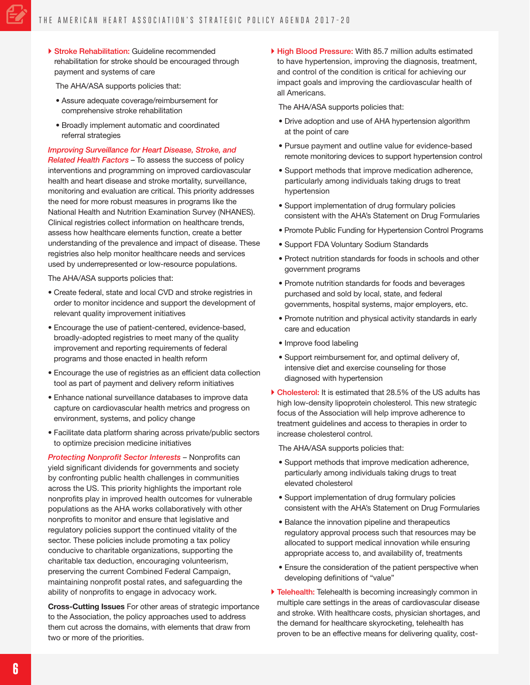▶ Stroke Rehabilitation: Guideline recommended rehabilitation for stroke should be encouraged through payment and systems of care

The AHA/ASA supports policies that:

- Assure adequate coverage/reimbursement for comprehensive stroke rehabilitation
- Broadly implement automatic and coordinated referral strategies

*Improving Surveillance for Heart Disease, Stroke, and Related Health Factors* – To assess the success of policy interventions and programming on improved cardiovascular health and heart disease and stroke mortality, surveillance, monitoring and evaluation are critical. This priority addresses the need for more robust measures in programs like the National Health and Nutrition Examination Survey (NHANES). Clinical registries collect information on healthcare trends, assess how healthcare elements function, create a better understanding of the prevalence and impact of disease. These registries also help monitor healthcare needs and services used by underrepresented or low-resource populations.

The AHA/ASA supports policies that:

- Create federal, state and local CVD and stroke registries in order to monitor incidence and support the development of relevant quality improvement initiatives
- Encourage the use of patient-centered, evidence-based, broadly-adopted registries to meet many of the quality improvement and reporting requirements of federal programs and those enacted in health reform
- Encourage the use of registries as an efficient data collection tool as part of payment and delivery reform initiatives
- Enhance national surveillance databases to improve data capture on cardiovascular health metrics and progress on environment, systems, and policy change
- Facilitate data platform sharing across private/public sectors to optimize precision medicine initiatives

*Protecting Nonprofit Sector Interests* – Nonprofits can yield significant dividends for governments and society by confronting public health challenges in communities across the US. This priority highlights the important role nonprofits play in improved health outcomes for vulnerable populations as the AHA works collaboratively with other nonprofits to monitor and ensure that legislative and regulatory policies support the continued vitality of the sector. These policies include promoting a tax policy conducive to charitable organizations, supporting the charitable tax deduction, encouraging volunteerism, preserving the current Combined Federal Campaign, maintaining nonprofit postal rates, and safeguarding the ability of nonprofits to engage in advocacy work.

Cross-Cutting Issues For other areas of strategic importance to the Association, the policy approaches used to address them cut across the domains, with elements that draw from two or more of the priorities.

High Blood Pressure: With 85.7 million adults estimated to have hypertension, improving the diagnosis, treatment, and control of the condition is critical for achieving our impact goals and improving the cardiovascular health of all Americans.

The AHA/ASA supports policies that:

- Drive adoption and use of AHA hypertension algorithm at the point of care
- Pursue payment and outline value for evidence-based remote monitoring devices to support hypertension control
- Support methods that improve medication adherence, particularly among individuals taking drugs to treat hypertension
- Support implementation of drug formulary policies consistent with the AHA's Statement on Drug Formularies
- Promote Public Funding for Hypertension Control Programs
- Support FDA Voluntary Sodium Standards
- Protect nutrition standards for foods in schools and other government programs
- Promote nutrition standards for foods and beverages purchased and sold by local, state, and federal governments, hospital systems, major employers, etc.
- Promote nutrition and physical activity standards in early care and education
- Improve food labeling
- Support reimbursement for, and optimal delivery of, intensive diet and exercise counseling for those diagnosed with hypertension
- Cholesterol: It is estimated that 28.5% of the US adults has high low-density lipoprotein cholesterol. This new strategic focus of the Association will help improve adherence to treatment guidelines and access to therapies in order to increase cholesterol control.

The AHA/ASA supports policies that:

- Support methods that improve medication adherence, particularly among individuals taking drugs to treat elevated cholesterol
- Support implementation of drug formulary policies consistent with the AHA's Statement on Drug Formularies
- Balance the innovation pipeline and therapeutics regulatory approval process such that resources may be allocated to support medical innovation while ensuring appropriate access to, and availability of, treatments
- Ensure the consideration of the patient perspective when developing definitions of "value"
- Telehealth: Telehealth is becoming increasingly common in multiple care settings in the areas of cardiovascular disease and stroke. With healthcare costs, physician shortages, and the demand for healthcare skyrocketing, telehealth has proven to be an effective means for delivering quality, cost-